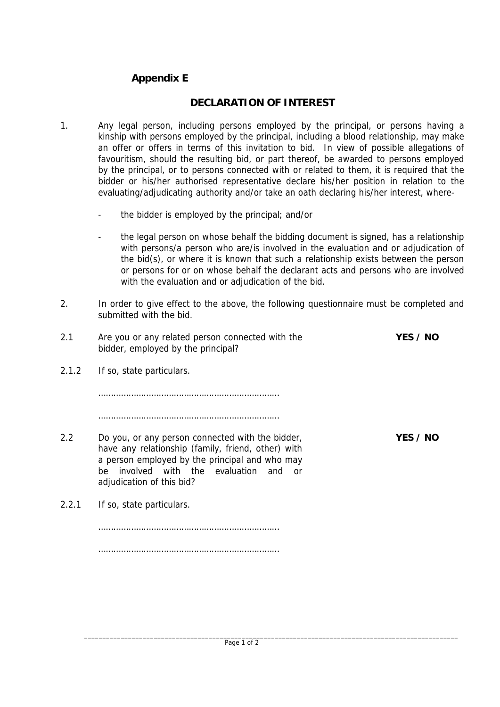## **Appendix E**

## **DECLARATION OF INTEREST**

- 1. Any legal person, including persons employed by the principal, or persons having a kinship with persons employed by the principal, including a blood relationship, may make an offer or offers in terms of this invitation to bid. In view of possible allegations of favouritism, should the resulting bid, or part thereof, be awarded to persons employed by the principal, or to persons connected with or related to them, it is required that the bidder or his/her authorised representative declare his/her position in relation to the evaluating/adjudicating authority and/or take an oath declaring his/her interest, where
	- the bidder is employed by the principal; and/or
	- the legal person on whose behalf the bidding document is signed, has a relationship with persons/a person who are/is involved in the evaluation and or adjudication of the bid(s), or where it is known that such a relationship exists between the person or persons for or on whose behalf the declarant acts and persons who are involved with the evaluation and or adjudication of the bid.
- 2. In order to give effect to the above, the following questionnaire must be completed and submitted with the bid.

| 2.1   | Are you or any related person connected with the<br>bidder, employed by the principal?                                                                                                                                                                 | YES / NO |
|-------|--------------------------------------------------------------------------------------------------------------------------------------------------------------------------------------------------------------------------------------------------------|----------|
| 2.1.2 | If so, state particulars.                                                                                                                                                                                                                              |          |
|       |                                                                                                                                                                                                                                                        |          |
|       |                                                                                                                                                                                                                                                        |          |
| 2.2   | Do you, or any person connected with the bidder,<br>have any relationship (family, friend, other) with<br>a person employed by the principal and who may<br>involved with the evaluation<br>be l<br>and<br><sub>0</sub> r<br>adjudication of this bid? | YES / NO |
| 2.2.1 | If so, state particulars.                                                                                                                                                                                                                              |          |
|       |                                                                                                                                                                                                                                                        |          |
|       |                                                                                                                                                                                                                                                        |          |